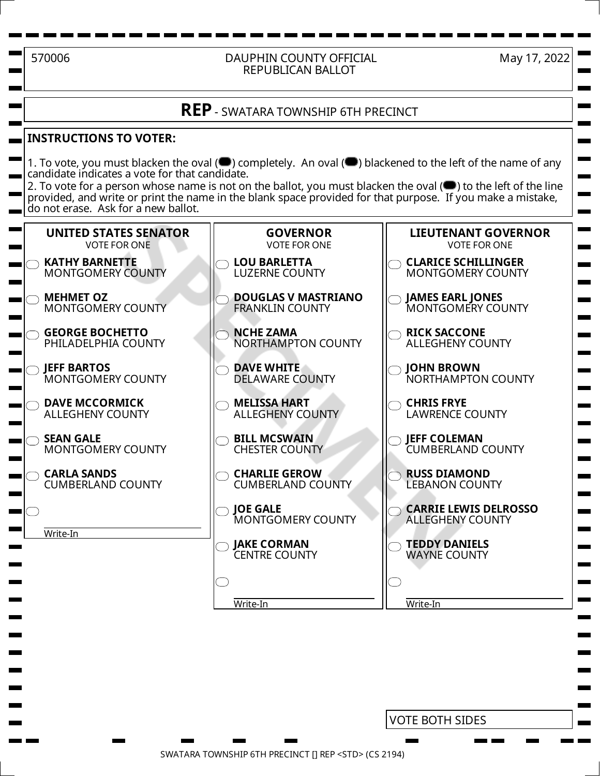## 570006 DAUPHIN COUNTY OFFICIAL REPUBLICAN BALLOT

May 17, 2022

## **REP**- SWATARA TOWNSHIP 6TH PRECINCT

## **INSTRUCTIONS TO VOTER:**

1. To vote, you must blacken the oval (O) completely. An oval (O) blackened to the left of the name of any candidate indicates a vote for that candidate.

2. To vote for a person whose name is not on the ballot, you must blacken the oval  $($ , to the left of the line provided, and write or print the name in the blank space provided for that purpose. If you make a mistake, do not erase. Ask for a new ballot.



VOTE BOTH SIDES